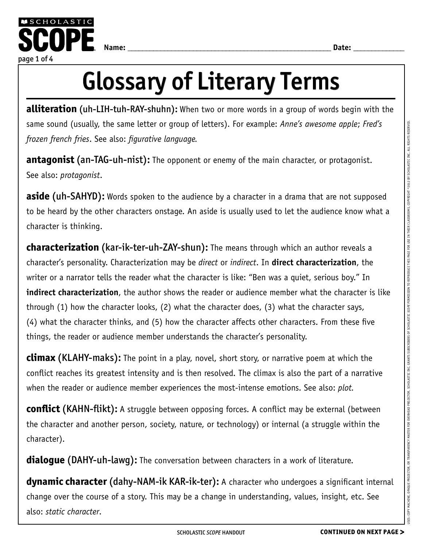

## Glossary of Literary Terms

**alliteration** (uh-LIH-tuh-RAY-shuhn): When two or more words in a group of words begin with the same sound (usually, the same letter or group of letters). For example: *Anne's awesome apple*; *Fred's frozen french fries*. See also: *figurative language.*

**antagonist** (an-TAG-uh-nist): The opponent or enemy of the main character, or protagonist. See also: *protagonist*.

**aside** (uh-SAHYD): Words spoken to the audience by a character in a drama that are not supposed to be heard by the other characters onstage. An aside is usually used to let the audience know what a character is thinking.

**characterization** (kar-ik-ter-uh-ZAY-shun): The means through which an author reveals a character's personality. Characterization may be *direct* or *indirect*. In **direct characterization**, the writer or a narrator tells the reader what the character is like: "Ben was a quiet, serious boy." In **indirect characterization**, the author shows the reader or audience member what the character is like through (1) how the character looks, (2) what the character does, (3) what the character says, (4) what the character thinks, and (5) how the character affects other characters. From these five things, the reader or audience member understands the character's personality.

**climax** (KLAHY-maks): The point in a play, novel, short story, or narrative poem at which the conflict reaches its greatest intensity and is then resolved. The climax is also the part of a narrative when the reader or audience member experiences the most-intense emotions. See also: *plot.*

**conflict** (KAHN-flikt): A struggle between opposing forces. A conflict may be external (between the character and another person, society, nature, or technology) or internal (a struggle within the character).

**dialogue (DAHY-uh-lawg):** The conversation between characters in a work of literature.

**dynamic character (dahy-NAM-ik KAR-ik-ter):** A character who undergoes a significant internal change over the course of a story. This may be a change in understanding, values, insight, etc. See also: *static character*.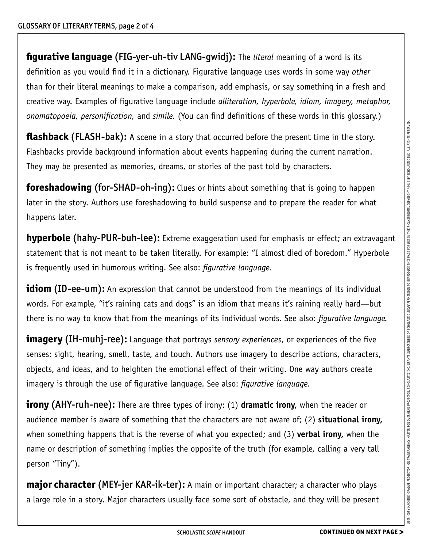**figurative language** (FIG-yer-uh-tiv LANG-gwidj): The *literal* meaning of a word is its definition as you would find it in a dictionary. Figurative language uses words in some way *other* than for their literal meanings to make a comparison, add emphasis, or say something in a fresh and creative way. Examples of figurative language include *alliteration, hyperbole, idiom, imagery, metaphor, onomatopoeia, personification,* and *simile.* (You can find definitions of these words in this glossary.)

**flashback (FLASH-bak):** A scene in a story that occurred before the present time in the story. Flashbacks provide background information about events happening during the current narration. They may be presented as memories, dreams, or stories of the past told by characters.

**foreshadowing** (for-SHAD-oh-ing): Clues or hints about something that is going to happen later in the story. Authors use foreshadowing to build suspense and to prepare the reader for what happens later.

**hyperbole** (hahy-PUR-buh-lee): Extreme exaggeration used for emphasis or effect; an extravagant statement that is not meant to be taken literally. For example: "I almost died of boredom." Hyperbole is frequently used in humorous writing. See also: *figurative language.*

**idiom (ID-ee-um):** An expression that cannot be understood from the meanings of its individual words. For example, "it's raining cats and dogs" is an idiom that means it's raining really hard—but there is no way to know that from the meanings of its individual words. See also: *figurative language.*

**imagery** (IH-muhj-ree): Language that portrays *sensory experiences*, or experiences of the five senses: sight, hearing, smell, taste, and touch. Authors use imagery to describe actions, characters, objects, and ideas, and to heighten the emotional effect of their writing. One way authors create imagery is through the use of figurative language. See also: *figurative language.*

**irony** (AHY-ruh-nee): There are three types of irony: (1) **dramatic irony,** when the reader or audience member is aware of something that the characters are not aware of; (2) **situational irony,** when something happens that is the reverse of what you expected; and (3) **verbal irony,** when the name or description of something implies the opposite of the truth (for example, calling a very tall person "Tiny").

**major character (MEY-jer KAR-ik-ter):** A main or important character; a character who plays a large role in a story. Major characters usually face some sort of obstacle, and they will be present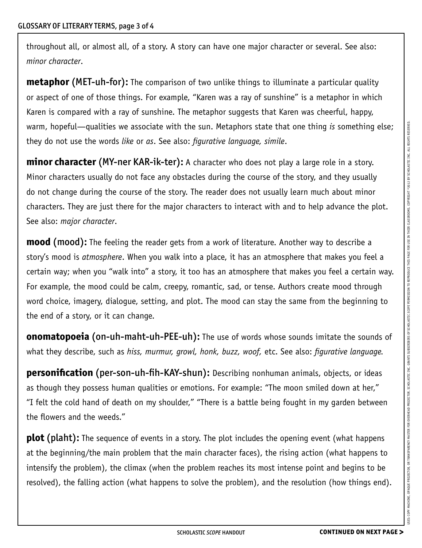throughout all, or almost all, of a story. A story can have one major character or several. See also: *minor character*.

**metaphor (MET-uh-for):** The comparison of two unlike things to illuminate a particular quality or aspect of one of those things. For example, "Karen was a ray of sunshine" is a metaphor in which Karen is compared with a ray of sunshine. The metaphor suggests that Karen was cheerful, happy, warm, hopeful—qualities we associate with the sun. Metaphors state that one thing *is* something else; they do not use the words *like* or *as*. See also: *figurative language, simile*.

**minor character (MY-ner KAR-ik-ter):** A character who does not play a large role in a story. Minor characters usually do not face any obstacles during the course of the story, and they usually do not change during the course of the story. The reader does not usually learn much about minor characters. They are just there for the major characters to interact with and to help advance the plot. See also: *major character*.

**mood** (mood): The feeling the reader gets from a work of literature. Another way to describe a story's mood is *atmosphere*. When you walk into a place, it has an atmosphere that makes you feel a certain way; when you "walk into" a story, it too has an atmosphere that makes you feel a certain way. For example, the mood could be calm, creepy, romantic, sad, or tense. Authors create mood through word choice, imagery, dialogue, setting, and plot. The mood can stay the same from the beginning to the end of a story, or it can change.

**onomatopoeia** (on-uh-maht-uh-PEE-uh): The use of words whose sounds imitate the sounds of what they describe, such as *hiss, murmur, growl, honk, buzz, woof,* etc. See also: *figurative language.*

**personification** (per-son-uh-fih-KAY-shun): Describing nonhuman animals, objects, or ideas as though they possess human qualities or emotions. For example: "The moon smiled down at her," "I felt the cold hand of death on my shoulder," "There is a battle being fought in my garden between the flowers and the weeds."

**plot** (plaht): The sequence of events in a story. The plot includes the opening event (what happens at the beginning/the main problem that the main character faces), the rising action (what happens to intensify the problem), the climax (when the problem reaches its most intense point and begins to be resolved), the falling action (what happens to solve the problem), and the resolution (how things end).